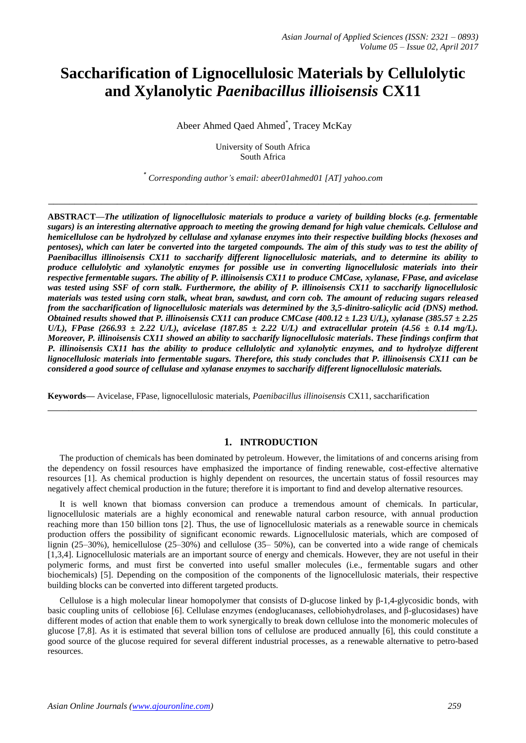# **Saccharification of Lignocellulosic Materials by Cellulolytic and Xylanolytic** *Paenibacillus illioisensis* **CX11**

Abeer Ahmed Qaed Ahmed \* , Tracey McKay

University of South Africa South Africa

*\* Corresponding author's email: abeer01ahmed01 [AT] yahoo.com*

**\_\_\_\_\_\_\_\_\_\_\_\_\_\_\_\_\_\_\_\_\_\_\_\_\_\_\_\_\_\_\_\_\_\_\_\_\_\_\_\_\_\_\_\_\_\_\_\_\_\_\_\_\_\_\_\_\_\_\_\_\_\_\_\_\_\_\_\_\_\_\_\_\_\_\_\_\_\_\_\_\_**

**ABSTRACT—***The utilization of lignocellulosic materials to produce a variety of building blocks (e.g. fermentable sugars) is an interesting alternative approach to meeting the growing demand for high value chemicals. Cellulose and hemicellulose can be hydrolyzed by cellulase and xylanase enzymes into their respective building blocks (hexoses and pentoses*), which can later be converted into the targeted compounds. The aim of this study was to test the ability of *Paenibacillus illinoisensis CX11 to saccharify different lignocellulosic materials, and to determine its ability to produce cellulolytic and xylanolytic enzymes for possible use in converting lignocellulosic materials into their respective fermentable sugars. The ability of P. illinoisensis CX11 to produce CMCase, xylanase, FPase, and avicelase was tested using SSF of corn stalk. Furthermore, the ability of P. illinoisensis CX11 to saccharify lignocellulosic materials was tested using corn stalk, wheat bran, sawdust, and corn cob. The amount of reducing sugars released from the saccharification of lignocellulosic materials was determined by the 3,5-dinitro-salicylic acid (DNS) method. Obtained results showed that P. illinoisensis CX11 can produce CMCase (400.12 ± 1.23 U/L), xylanase (385.57 ± 2.25 U/L), FPase* (266.93  $\pm$  2.22 *U/L), avicelase* (187.85  $\pm$  2.22 *U/L) and extracellular protein* (4.56  $\pm$  0.14 mg/L). *Moreover, P. illinoisensis CX11 showed an ability to saccharify lignocellulosic materials. These findings confirm that P. illinoisensis CX11 has the ability to produce cellulolytic and xylanolytic enzymes, and to hydrolyze different lignocellulosic materials into fermentable sugars. Therefore, this study concludes that P. illinoisensis CX11 can be considered a good source of cellulase and xylanase enzymes to saccharify different lignocellulosic materials.*

**Keywords—** Avicelase, FPase, lignocellulosic materials, *Paenibacillus illinoisensis* CX11, saccharification

## **1. INTRODUCTION**

The production of chemicals has been dominated by petroleum. However, the limitations of and concerns arising from the dependency on fossil resources have emphasized the importance of finding renewable, cost-effective alternative resources [1]. As chemical production is highly dependent on resources, the uncertain status of fossil resources may negatively affect chemical production in the future; therefore it is important to find and develop alternative resources.

**\_\_\_\_\_\_\_\_\_\_\_\_\_\_\_\_\_\_\_\_\_\_\_\_\_\_\_\_\_\_\_\_\_\_\_\_\_\_\_\_\_\_\_\_\_\_\_\_\_\_\_\_\_\_\_\_\_\_\_\_\_\_\_\_\_\_\_\_\_\_\_\_\_\_\_\_\_\_\_\_\_**

It is well known that biomass conversion can produce a tremendous amount of chemicals. In particular, lignocellulosic materials are a highly economical and renewable natural carbon resource, with annual production reaching more than 150 billion tons [2]. Thus, the use of lignocellulosic materials as a renewable source in chemicals production offers the possibility of significant economic rewards. Lignocellulosic materials, which are composed of lignin (25–30%), hemicellulose (25–30%) and cellulose (35– 50%), can be converted into a wide range of chemicals [1,3,4]. Lignocellulosic materials are an important source of energy and chemicals. However, they are not useful in their polymeric forms, and must first be converted into useful smaller molecules (i.e., fermentable sugars and other biochemicals) [5]. Depending on the composition of the components of the lignocellulosic materials, their respective building blocks can be converted into different targeted products.

Cellulose is a high molecular linear homopolymer that consists of D-glucose linked by  $\beta$ -1,4-glycosidic bonds, with basic coupling units of cellobiose [6]. Cellulase enzymes (endoglucanases, cellobiohydrolases, and β-glucosidases) have different modes of action that enable them to work synergically to break down cellulose into the monomeric molecules of glucose [7,8]. As it is estimated that several billion tons of cellulose are produced annually [6], this could constitute a good source of the glucose required for several different industrial processes, as a renewable alternative to petro-based resources.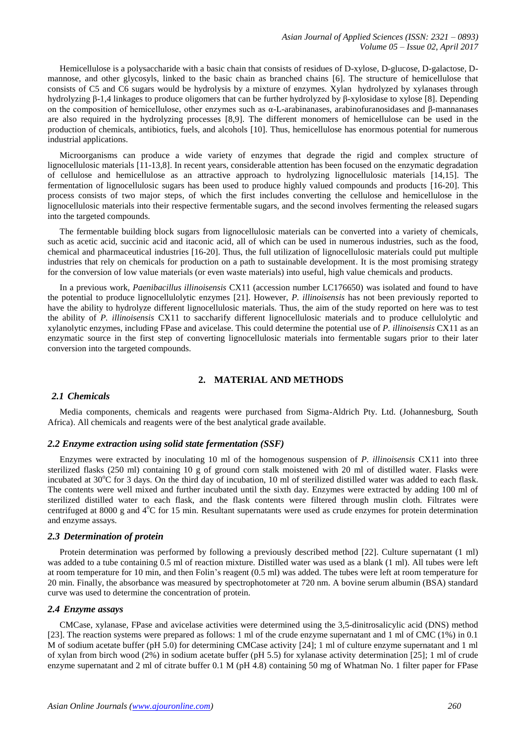Hemicellulose is a polysaccharide with a basic chain that consists of residues of D-xylose, D-glucose, D-galactose, Dmannose, and other glycosyls, linked to the basic chain as branched chains [6]. The structure of hemicellulose that consists of C5 and C6 sugars would be hydrolysis by a mixture of enzymes. Xylan hydrolyzed by xylanases through hydrolyzing β-1,4 linkages to produce oligomers that can be further hydrolyzed by β-xylosidase to xylose [8]. Depending on the composition of hemicellulose, other enzymes such as  $α$ -L-arabinanases, arabinofuranosidases and β-mannanases are also required in the hydrolyzing processes [8,9]. The different monomers of hemicellulose can be used in the production of chemicals, antibiotics, fuels, and alcohols [10]. Thus, hemicellulose has enormous potential for numerous industrial applications.

Microorganisms can produce a wide variety of enzymes that degrade the rigid and complex structure of lignocellulosic materials [11-13,8]. In recent years, considerable attention has been focused on the enzymatic degradation of cellulose and hemicellulose as an attractive approach to hydrolyzing lignocellulosic materials [14,15]. The fermentation of lignocellulosic sugars has been used to produce highly valued compounds and products [16-20]. This process consists of two major steps, of which the first includes converting the cellulose and hemicellulose in the lignocellulosic materials into their respective fermentable sugars, and the second involves fermenting the released sugars into the targeted compounds.

The fermentable building block sugars from lignocellulosic materials can be converted into a variety of chemicals, such as acetic acid, succinic acid and itaconic acid, all of which can be used in numerous industries, such as the food, chemical and pharmaceutical industries [16-20]. Thus, the full utilization of lignocellulosic materials could put multiple industries that rely on chemicals for production on a path to sustainable development. It is the most promising strategy for the conversion of low value materials (or even waste materials) into useful, high value chemicals and products.

In a previous work, *Paenibacillus illinoisensis* CX11 (accession number LC176650) was isolated and found to have the potential to produce lignocellulolytic enzymes [21]. However, *P. illinoisensis* has not been previously reported to have the ability to hydrolyze different lignocellulosic materials. Thus, the aim of the study reported on here was to test the ability of *P. illinoisensis* CX11 to saccharify different lignocellulosic materials and to produce cellulolytic and xylanolytic enzymes, including FPase and avicelase. This could determine the potential use of *P. illinoisensis* CX11 as an enzymatic source in the first step of converting lignocellulosic materials into fermentable sugars prior to their later conversion into the targeted compounds.

# **2. MATERIAL AND METHODS**

## *2.1 Chemicals*

Media components, chemicals and reagents were purchased from Sigma-Aldrich Pty. Ltd. (Johannesburg, South Africa). All chemicals and reagents were of the best analytical grade available.

### *2.2 Enzyme extraction using solid state fermentation (SSF)*

Enzymes were extracted by inoculating 10 ml of the homogenous suspension of *P. illinoisensis* CX11 into three sterilized flasks (250 ml) containing 10 g of ground corn stalk moistened with 20 ml of distilled water. Flasks were incubated at  $30^{\circ}$ C for 3 days. On the third day of incubation, 10 ml of sterilized distilled water was added to each flask. The contents were well mixed and further incubated until the sixth day. Enzymes were extracted by adding 100 ml of sterilized distilled water to each flask, and the flask contents were filtered through muslin cloth. Filtrates were centrifuged at 8000 g and  $4^{\circ}$ C for 15 min. Resultant supernatants were used as crude enzymes for protein determination and enzyme assays.

### *2.3 Determination of protein*

Protein determination was performed by following a previously described method [22]. Culture supernatant (1 ml) was added to a tube containing 0.5 ml of reaction mixture. Distilled water was used as a blank (1 ml). All tubes were left at room temperature for 10 min, and then Folin's reagent (0.5 ml) was added. The tubes were left at room temperature for 20 min. Finally, the absorbance was measured by spectrophotometer at 720 nm. A bovine serum albumin (BSA) standard curve was used to determine the concentration of protein.

### *2.4 Enzyme assays*

CMCase, xylanase, FPase and avicelase activities were determined using the 3,5-dinitrosalicylic acid (DNS) method [23]. The reaction systems were prepared as follows: 1 ml of the crude enzyme supernatant and 1 ml of CMC (1%) in 0.1 M of sodium acetate buffer (pH 5.0) for determining CMCase activity [24]; 1 ml of culture enzyme supernatant and 1 ml of xylan from birch wood (2%) in sodium acetate buffer (pH 5.5) for xylanase activity determination [25]; 1 ml of crude enzyme supernatant and 2 ml of citrate buffer 0.1 M (pH 4.8) containing 50 mg of Whatman No. 1 filter paper for FPase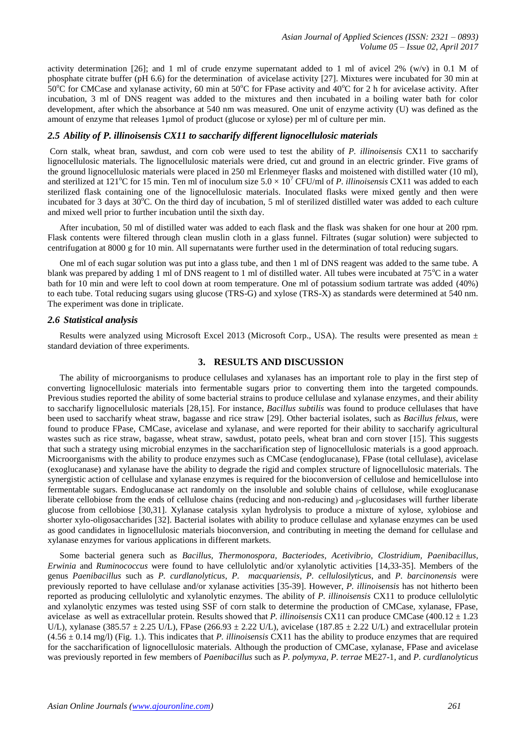activity determination [26]; and 1 ml of crude enzyme supernatant added to 1 ml of avicel 2% (w/v) in 0.1 M of phosphate citrate buffer (pH 6.6) for the determination of avicelase activity [27]. Mixtures were incubated for 30 min at 50 $^{\circ}$ C for CMCase and xylanase activity, 60 min at 50 $^{\circ}$ C for FPase activity and 40 $^{\circ}$ C for 2 h for avicelase activity. After incubation, 3 ml of DNS reagent was added to the mixtures and then incubated in a boiling water bath for color development, after which the absorbance at 540 nm was measured. One unit of enzyme activity (U) was defined as the amount of enzyme that releases 1µmol of product (glucose or xylose) per ml of culture per min.

## *2.5 Ability of P. illinoisensis CX11 to saccharify different lignocellulosic materials*

Corn stalk, wheat bran, sawdust, and corn cob were used to test the ability of *P. illinoisensis* CX11 to saccharify lignocellulosic materials. The lignocellulosic materials were dried, cut and ground in an electric grinder. Five grams of the ground lignocellulosic materials were placed in 250 ml Erlenmeyer flasks and moistened with distilled water (10 ml), and sterilized at 121<sup>o</sup>C for 15 min. Ten ml of inoculum size  $5.0 \times 10^7$  CFU/ml of *P. illinoisensis* CX11 was added to each sterilized flask containing one of the lignocellulosic materials. Inoculated flasks were mixed gently and then were incubated for 3 days at  $30^{\circ}$ C. On the third day of incubation, 5 ml of sterilized distilled water was added to each culture and mixed well prior to further incubation until the sixth day.

After incubation, 50 ml of distilled water was added to each flask and the flask was shaken for one hour at 200 rpm. Flask contents were filtered through clean muslin cloth in a glass funnel. Filtrates (sugar solution) were subjected to centrifugation at 8000 g for 10 min. All supernatants were further used in the determination of total reducing sugars.

One ml of each sugar solution was put into a glass tube, and then 1 ml of DNS reagent was added to the same tube. A blank was prepared by adding 1 ml of DNS reagent to 1 ml of distilled water. All tubes were incubated at  $75^{\circ}$ C in a water bath for 10 min and were left to cool down at room temperature. One ml of potassium sodium tartrate was added (40%) to each tube. Total reducing sugars using glucose (TRS-G) and xylose (TRS-X) as standards were determined at 540 nm. The experiment was done in triplicate.

### *2.6 Statistical analysis*

Results were analyzed using Microsoft Excel 2013 (Microsoft Corp., USA). The results were presented as mean  $\pm$ standard deviation of three experiments.

## **3. RESULTS AND DISCUSSION**

The ability of microorganisms to produce cellulases and xylanases has an important role to play in the first step of converting lignocellulosic materials into fermentable sugars prior to converting them into the targeted compounds. Previous studies reported the ability of some bacterial strains to produce cellulase and xylanase enzymes, and their ability to saccharify lignocellulosic materials [28,15]. For instance, *Bacillus subtilis* was found to produce cellulases that have been used to saccharify wheat straw, bagasse and rice straw [29]. Other bacterial isolates, such as *Bacillus felxus*, were found to produce FPase, CMCase, avicelase and xylanase, and were reported for their ability to saccharify agricultural wastes such as rice straw, bagasse, wheat straw, sawdust, potato peels, wheat bran and corn stover [15]. This suggests that such a strategy using microbial enzymes in the saccharification step of lignocellulosic materials is a good approach. Microorganisms with the ability to produce enzymes such as CMCase (endoglucanase), FPase (total cellulase), avicelase (exoglucanase) and xylanase have the ability to degrade the rigid and complex structure of lignocellulosic materials. The synergistic action of cellulase and xylanase enzymes is required for the bioconversion of cellulose and hemicellulose into fermentable sugars. Endoglucanase act randomly on the insoluble and soluble chains of cellulose, while exoglucanase liberate cellobiose from the ends of cellulose chains (reducing and non-reducing) and  $_{6}$ -glucosidases will further liberate glucose from cellobiose [30,31]. Xylanase catalysis xylan hydrolysis to produce a mixture of xylose, xylobiose and shorter xylo-oligosaccharides [32]. Bacterial isolates with ability to produce cellulase and xylanase enzymes can be used as good candidates in lignocellulosic materials bioconversion, and contributing in meeting the demand for cellulase and xylanase enzymes for various applications in different markets.

Some bacterial genera such as *Bacillus, Thermonospora, Bacteriodes, Acetivibrio, Clostridium, Paenibacillus, Erwinia* and *Ruminococcus* were found to have cellulolytic and/or xylanolytic activities [14,33-35]. Members of the genus *Paenibacillus* such as *P. curdlanolyticus*, *P. macquariensis*, *P. cellulosilyticus*, and *P. barcinonensis* were previously reported to have cellulase and/or xylanase activities [35-39]. However, *P. illinoisensis* has not hitherto been reported as producing cellulolytic and xylanolytic enzymes. The ability of *P. illinoisensis* CX11 to produce cellulolytic and xylanolytic enzymes was tested using SSF of corn stalk to determine the production of CMCase, xylanase, FPase, avicelase as well as extracellular protein. Results showed that *P. illinoisensis* CX11 can produce CMCase (400.12 ± 1.23 U/L), xylanase (385.57  $\pm$  2.25 U/L), FPase (266.93  $\pm$  2.22 U/L), avicelase (187.85  $\pm$  2.22 U/L) and extracellular protein  $(4.56 \pm 0.14 \text{ mg/l})$  (Fig. 1.). This indicates that *P. illinoisensis* CX11 has the ability to produce enzymes that are required for the saccharification of lignocellulosic materials. Although the production of CMCase, xylanase, FPase and avicelase was previously reported in few members of *Paenibacillus* such as *P. polymyxa*, *P. terrae* ME27-1, and *P. curdlanolyticus*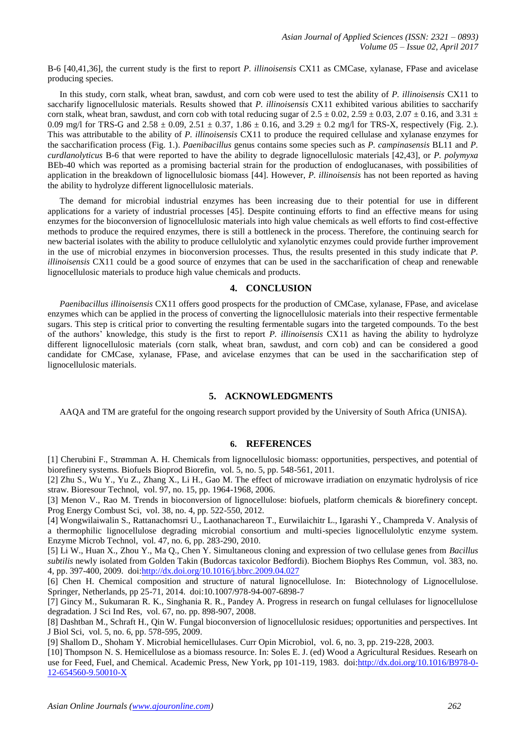B-6 [40,41,36], the current study is the first to report *P. illinoisensis* CX11 as CMCase, xylanase, FPase and avicelase producing species.

In this study, corn stalk, wheat bran, sawdust, and corn cob were used to test the ability of *P. illinoisensis* CX11 to saccharify lignocellulosic materials. Results showed that *P. illinoisensis* CX11 exhibited various abilities to saccharify corn stalk, wheat bran, sawdust, and corn cob with total reducing sugar of  $2.5 \pm 0.02$ ,  $2.59 \pm 0.03$ ,  $2.07 \pm 0.16$ , and  $3.31 \pm 0.03$ 0.09 mg/l for TRS-G and  $2.58 \pm 0.09$ ,  $2.51 \pm 0.37$ ,  $1.86 \pm 0.16$ , and  $3.29 \pm 0.2$  mg/l for TRS-X, respectively (Fig. 2.). This was attributable to the ability of *P. illinoisensis* CX11 to produce the required cellulase and xylanase enzymes for the saccharification process (Fig. 1.). *Paenibacillus* genus contains some species such as *P. campinasensis* BL11 and *P. curdlanolyticus* B-6 that were reported to have the ability to degrade lignocellulosic materials [42,43], or *P. polymyxa* BEb-40 which was reported as a promising bacterial strain for the production of endoglucanases, with possibilities of application in the breakdown of lignocellulosic biomass [44]. However, *P. illinoisensis* has not been reported as having the ability to hydrolyze different lignocellulosic materials.

The demand for microbial industrial enzymes has been increasing due to their potential for use in different applications for a variety of industrial processes [45]. Despite continuing efforts to find an effective means for using enzymes for the bioconversion of lignocellulosic materials into high value chemicals as well efforts to find cost-effective methods to produce the required enzymes, there is still a bottleneck in the process. Therefore, the continuing search for new bacterial isolates with the ability to produce cellulolytic and xylanolytic enzymes could provide further improvement in the use of microbial enzymes in bioconversion processes. Thus, the results presented in this study indicate that *P. illinoisensis* CX11 could be a good source of enzymes that can be used in the saccharification of cheap and renewable lignocellulosic materials to produce high value chemicals and products.

## **4. CONCLUSION**

*Paenibacillus illinoisensis* CX11 offers good prospects for the production of CMCase, xylanase, FPase, and avicelase enzymes which can be applied in the process of converting the lignocellulosic materials into their respective fermentable sugars. This step is critical prior to converting the resulting fermentable sugars into the targeted compounds. To the best of the authors' knowledge, this study is the first to report *P. illinoisensis* CX11 as having the ability to hydrolyze different lignocellulosic materials (corn stalk, wheat bran, sawdust, and corn cob) and can be considered a good candidate for CMCase, xylanase, FPase, and avicelase enzymes that can be used in the saccharification step of lignocellulosic materials.

## **5. ACKNOWLEDGMENTS**

AAQA and TM are grateful for the ongoing research support provided by the University of South Africa (UNISA).

### **6. REFERENCES**

[1] Cherubini F., Strømman A. H. Chemicals from lignocellulosic biomass: opportunities, perspectives, and potential of biorefinery systems. Biofuels Bioprod Biorefin, vol. 5, no. 5, pp. 548-561, 2011.

[2] Zhu S., Wu Y., Yu Z., Zhang X., Li H., Gao M. The effect of microwave irradiation on enzymatic hydrolysis of rice straw. Bioresour Technol, vol. 97, no. 15, pp. 1964-1968, 2006.

[3] Menon V., Rao M. Trends in bioconversion of lignocellulose: biofuels, platform chemicals & biorefinery concept. Prog Energy Combust Sci, vol. 38, no. 4, pp. 522-550, 2012.

[4] Wongwilaiwalin S., Rattanachomsri U., Laothanachareon T., Eurwilaichitr L., Igarashi Y., Champreda V. Analysis of a thermophilic lignocellulose degrading microbial consortium and multi-species lignocellulolytic enzyme system. Enzyme Microb Technol, vol. 47, no. 6, pp. 283-290, 2010.

[5] Li W., Huan X., Zhou Y., Ma Q., Chen Y. Simultaneous cloning and expression of two cellulase genes from *Bacillus subtilis* newly isolated from Golden Takin (Budorcas taxicolor Bedfordi). Biochem Biophys Res Commun, vol. 383, no. 4, pp. 397-400, 2009. doi[:http://dx.doi.org/10.1016/j.bbrc.2009.04.027](http://dx.doi.org/10.1016/j.bbrc.2009.04.027)

[6] Chen H. Chemical composition and structure of natural lignocellulose. In: Biotechnology of Lignocellulose. Springer, Netherlands, pp 25-71, 2014. doi:10.1007/978-94-007-6898-7

[7] Gincy M., Sukumaran R. K., Singhania R. R., Pandey A. Progress in research on fungal cellulases for lignocellulose degradation. J Sci Ind Res, vol. 67, no. pp. 898-907, 2008.

[8] Dashtban M., Schraft H., Qin W. Fungal bioconversion of lignocellulosic residues; opportunities and perspectives. Int J Biol Sci, vol. 5, no. 6, pp. 578-595, 2009.

[9] Shallom D., Shoham Y. Microbial hemicellulases. Curr Opin Microbiol, vol. 6, no. 3, pp. 219-228, 2003.

[10] Thompson N. S. Hemicellulose as a biomass resource. In: Soles E. J. (ed) Wood a Agricultural Residues. Researh on use for Feed, Fuel, and Chemical. Academic Press, New York, pp 101-119, 1983. doi[:http://dx.doi.org/10.1016/B978-0-](http://dx.doi.org/10.1016/B978-0-12-654560-9.50010-X) [12-654560-9.50010-X](http://dx.doi.org/10.1016/B978-0-12-654560-9.50010-X)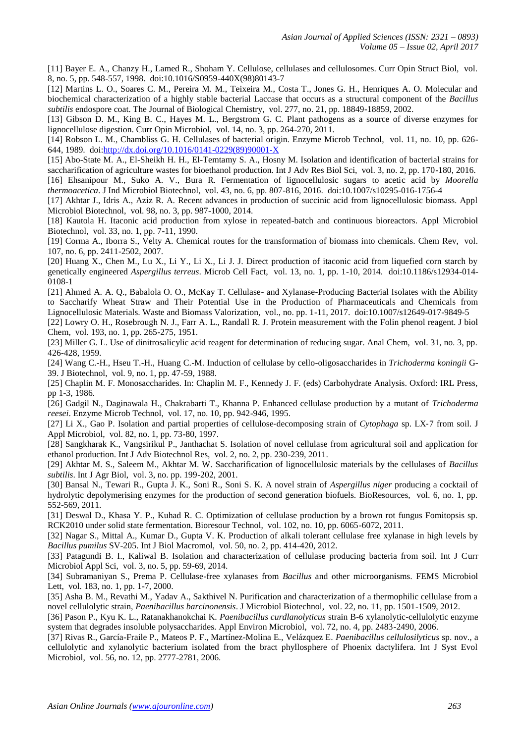[11] Bayer E. A., Chanzy H., Lamed R., Shoham Y. Cellulose, cellulases and cellulosomes. Curr Opin Struct Biol, vol. 8, no. 5, pp. 548-557, 1998. doi:10.1016/S0959-440X(98)80143-7

[12] Martins L. O., Soares C. M., Pereira M. M., Teixeira M., Costa T., Jones G. H., Henriques A. O. Molecular and biochemical characterization of a highly stable bacterial Laccase that occurs as a structural component of the *Bacillus subtilis* endospore coat. The Journal of Biological Chemistry, vol. 277, no. 21, pp. 18849-18859, 2002.

[13] Gibson D. M., King B. C., Hayes M. L., Bergstrom G. C. Plant pathogens as a source of diverse enzymes for lignocellulose digestion. Curr Opin Microbiol, vol. 14, no. 3, pp. 264-270, 2011.

[14] Robson L. M., Chambliss G. H. Cellulases of bacterial origin. Enzyme Microb Technol, vol. 11, no. 10, pp. 626- 644, 1989. doi[:http://dx.doi.org/10.1016/0141-0229\(89\)90001-X](http://dx.doi.org/10.1016/0141-0229(89)90001-X)

[15] Abo-State M. A., El-Sheikh H. H., El-Temtamy S. A., Hosny M. Isolation and identification of bacterial strains for saccharification of agriculture wastes for bioethanol production. Int J Adv Res Biol Sci, vol. 3, no. 2, pp. 170-180, 2016. [16] Ehsanipour M., Suko A. V., Bura R. Fermentation of lignocellulosic sugars to acetic acid by *Moorella* 

*thermoacetica*. J Ind Microbiol Biotechnol, vol. 43, no. 6, pp. 807-816, 2016. doi:10.1007/s10295-016-1756-4

[17] Akhtar J., Idris A., Aziz R. A. Recent advances in production of succinic acid from lignocellulosic biomass. Appl Microbiol Biotechnol, vol. 98, no. 3, pp. 987-1000, 2014.

[18] Kautola H. Itaconic acid production from xylose in repeated-batch and continuous bioreactors. Appl Microbiol Biotechnol, vol. 33, no. 1, pp. 7-11, 1990.

[19] Corma A., Iborra S., Velty A. Chemical routes for the transformation of biomass into chemicals. Chem Rev, vol. 107, no. 6, pp. 2411-2502, 2007.

[20] Huang X., Chen M., Lu X., Li Y., Li X., Li J. J. Direct production of itaconic acid from liquefied corn starch by genetically engineered *Aspergillus terreus*. Microb Cell Fact, vol. 13, no. 1, pp. 1-10, 2014. doi:10.1186/s12934-014- 0108-1

[21] Ahmed A. A. Q., Babalola O. O., McKay T. Cellulase- and Xylanase-Producing Bacterial Isolates with the Ability to Saccharify Wheat Straw and Their Potential Use in the Production of Pharmaceuticals and Chemicals from Lignocellulosic Materials. Waste and Biomass Valorization, vol., no. pp. 1-11, 2017. doi:10.1007/s12649-017-9849-5

[22] Lowry O. H., Rosebrough N. J., Farr A. L., Randall R. J. Protein measurement with the Folin phenol reagent. J biol Chem, vol. 193, no. 1, pp. 265-275, 1951.

[23] Miller G. L. Use of dinitrosalicylic acid reagent for determination of reducing sugar. Anal Chem, vol. 31, no. 3, pp. 426-428, 1959.

[24] Wang C.-H., Hseu T.-H., Huang C.-M. Induction of cellulase by cello-oligosaccharides in *Trichoderma koningii* G-39. J Biotechnol, vol. 9, no. 1, pp. 47-59, 1988.

[25] Chaplin M. F. Monosaccharides. In: Chaplin M. F., Kennedy J. F. (eds) Carbohydrate Analysis. Oxford: IRL Press, pp 1-3, 1986.

[26] Gadgil N., Daginawala H., Chakrabarti T., Khanna P. Enhanced cellulase production by a mutant of *Trichoderma reesei*. Enzyme Microb Technol, vol. 17, no. 10, pp. 942-946, 1995.

[27] Li X., Gao P. Isolation and partial properties of cellulose‐decomposing strain of *Cytophaga* sp. LX‐7 from soil. J Appl Microbiol, vol. 82, no. 1, pp. 73-80, 1997.

[28] Sangkharak K., Vangsirikul P., Janthachat S. Isolation of novel cellulase from agricultural soil and application for ethanol production. Int J Adv Biotechnol Res, vol. 2, no. 2, pp. 230-239, 2011.

[29] Akhtar M. S., Saleem M., Akhtar M. W. Saccharification of lignocellulosic materials by the cellulases of *Bacillus subtilis*. Int J Agr Biol, vol. 3, no. pp. 199-202, 2001.

[30] Bansal N., Tewari R., Gupta J. K., Soni R., Soni S. K. A novel strain of *Aspergillus niger* producing a cocktail of hydrolytic depolymerising enzymes for the production of second generation biofuels. BioResources, vol. 6, no. 1, pp. 552-569, 2011.

[31] Deswal D., Khasa Y. P., Kuhad R. C. Optimization of cellulase production by a brown rot fungus Fomitopsis sp. RCK2010 under solid state fermentation. Bioresour Technol, vol. 102, no. 10, pp. 6065-6072, 2011.

[32] Nagar S., Mittal A., Kumar D., Gupta V. K. Production of alkali tolerant cellulase free xylanase in high levels by *Bacillus pumilus* SV-205. Int J Biol Macromol, vol. 50, no. 2, pp. 414-420, 2012.

[33] Patagundi B. I., Kaliwal B. Isolation and characterization of cellulase producing bacteria from soil. Int J Curr Microbiol Appl Sci, vol. 3, no. 5, pp. 59-69, 2014.

[34] Subramaniyan S., Prema P. Cellulase-free xylanases from *Bacillus* and other microorganisms. FEMS Microbiol Lett, vol. 183, no. 1, pp. 1-7, 2000.

[35] Asha B. M., Revathi M., Yadav A., Sakthivel N. Purification and characterization of a thermophilic cellulase from a novel cellulolytic strain, *Paenibacillus barcinonensis*. J Microbiol Biotechnol, vol. 22, no. 11, pp. 1501-1509, 2012.

[36] Pason P., Kyu K. L., Ratanakhanokchai K. *Paenibacillus curdlanolyticus* strain B-6 xylanolytic-cellulolytic enzyme system that degrades insoluble polysaccharides. Appl Environ Microbiol, vol. 72, no. 4, pp. 2483-2490, 2006.

[37] Rivas R., García-Fraile P., Mateos P. F., Martínez-Molina E., Velázquez E. *Paenibacillus cellulosilyticus* sp. nov., a cellulolytic and xylanolytic bacterium isolated from the bract phyllosphere of Phoenix dactylifera. Int J Syst Evol Microbiol, vol. 56, no. 12, pp. 2777-2781, 2006.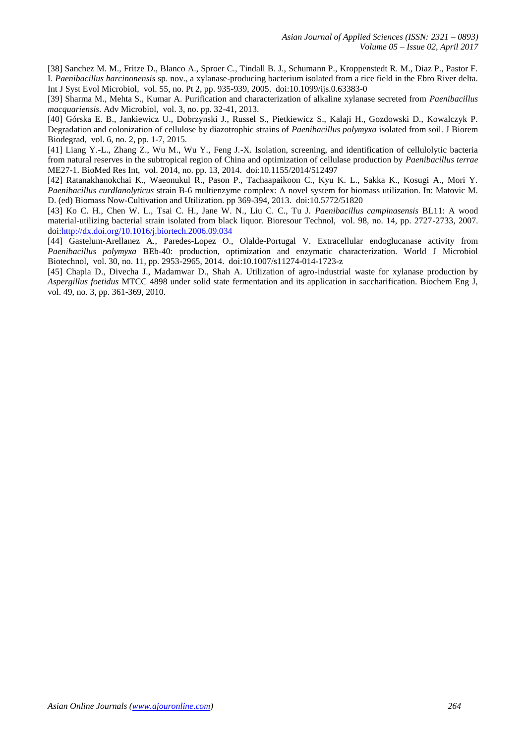[38] Sanchez M. M., Fritze D., Blanco A., Sproer C., Tindall B. J., Schumann P., Kroppenstedt R. M., Diaz P., Pastor F. I. *Paenibacillus barcinonensis* sp. nov., a xylanase-producing bacterium isolated from a rice field in the Ebro River delta. Int J Syst Evol Microbiol, vol. 55, no. Pt 2, pp. 935-939, 2005. doi:10.1099/ijs.0.63383-0

[39] Sharma M., Mehta S., Kumar A. Purification and characterization of alkaline xylanase secreted from *Paenibacillus macquariensis*. Adv Microbiol, vol. 3, no. pp. 32-41, 2013.

[40] Górska E. B., Jankiewicz U., Dobrzynski J., Russel S., Pietkiewicz S., Kalaji H., Gozdowski D., Kowalczyk P. Degradation and colonization of cellulose by diazotrophic strains of *Paenibacillus polymyxa* isolated from soil. J Biorem Biodegrad, vol. 6, no. 2, pp. 1-7, 2015.

[41] Liang Y.-L., Zhang Z., Wu M., Wu Y., Feng J.-X. Isolation, screening, and identification of cellulolytic bacteria from natural reserves in the subtropical region of China and optimization of cellulase production by *Paenibacillus terrae* ME27-1. BioMed Res Int, vol. 2014, no. pp. 13, 2014. doi:10.1155/2014/512497

[42] Ratanakhanokchai K., Waeonukul R., Pason P., Tachaapaikoon C., Kyu K. L., Sakka K., Kosugi A., Mori Y. *Paenibacillus curdlanolyticus* strain B-6 multienzyme complex: A novel system for biomass utilization. In: Matovic M. D. (ed) Biomass Now-Cultivation and Utilization. pp 369-394, 2013. doi:10.5772/51820

[43] Ko C. H., Chen W. L., Tsai C. H., Jane W. N., Liu C. C., Tu J. *Paenibacillus campinasensis* BL11: A wood material-utilizing bacterial strain isolated from black liquor. Bioresour Technol, vol. 98, no. 14, pp. 2727-2733, 2007. doi[:http://dx.doi.org/10.1016/j.biortech.2006.09.034](http://dx.doi.org/10.1016/j.biortech.2006.09.034)

[44] Gastelum-Arellanez A., Paredes-Lopez O., Olalde-Portugal V. Extracellular endoglucanase activity from *Paenibacillus polymyxa* BEb-40: production, optimization and enzymatic characterization. World J Microbiol Biotechnol, vol. 30, no. 11, pp. 2953-2965, 2014. doi:10.1007/s11274-014-1723-z

[45] Chapla D., Divecha J., Madamwar D., Shah A. Utilization of agro-industrial waste for xylanase production by *Aspergillus foetidus* MTCC 4898 under solid state fermentation and its application in saccharification. Biochem Eng J, vol. 49, no. 3, pp. 361-369, 2010.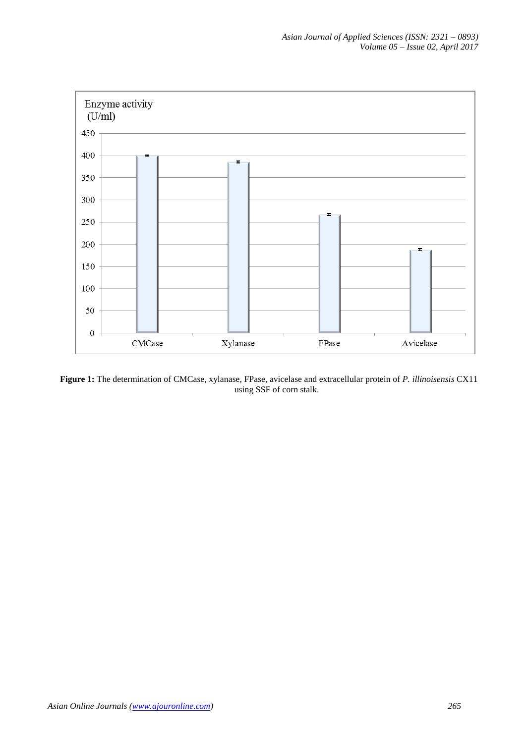

**Figure 1:** The determination of CMCase, xylanase, FPase, avicelase and extracellular protein of *P. illinoisensis* CX11 using SSF of corn stalk.